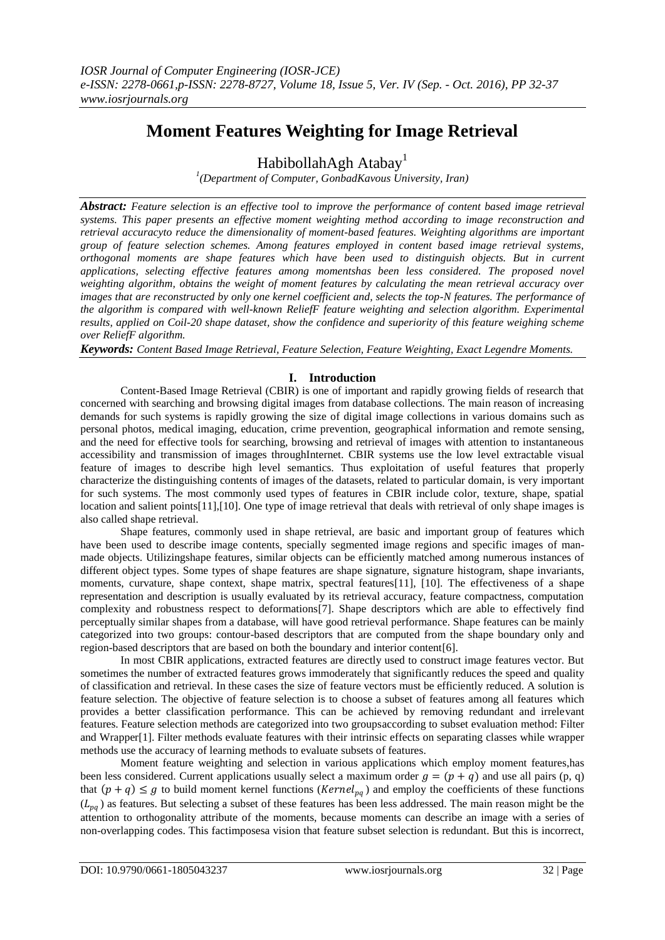# **Moment Features Weighting for Image Retrieval**

HabibollahAgh Atabay<sup>1</sup>

*1 (Department of Computer, GonbadKavous University, Iran)*

*Abstract: Feature selection is an effective tool to improve the performance of content based image retrieval systems. This paper presents an effective moment weighting method according to image reconstruction and retrieval accuracyto reduce the dimensionality of moment-based features. Weighting algorithms are important group of feature selection schemes. Among features employed in content based image retrieval systems, orthogonal moments are shape features which have been used to distinguish objects. But in current applications, selecting effective features among momentshas been less considered. The proposed novel weighting algorithm, obtains the weight of moment features by calculating the mean retrieval accuracy over images that are reconstructed by only one kernel coefficient and, selects the top-N features. The performance of the algorithm is compared with well-known ReliefF feature weighting and selection algorithm. Experimental results, applied on Coil-20 shape dataset, show the confidence and superiority of this feature weighing scheme over ReliefF algorithm.*

*Keywords: Content Based Image Retrieval, Feature Selection, Feature Weighting, Exact Legendre Moments.*

# **I. Introduction**

Content-Based Image Retrieval (CBIR) is one of important and rapidly growing fields of research that concerned with searching and browsing digital images from database collections. The main reason of increasing demands for such systems is rapidly growing the size of digital image collections in various domains such as personal photos, medical imaging, education, crime prevention, geographical information and remote sensing, and the need for effective tools for searching, browsing and retrieval of images with attention to instantaneous accessibility and transmission of images throughInternet. CBIR systems use the low level extractable visual feature of images to describe high level semantics. Thus exploitation of useful features that properly characterize the distinguishing contents of images of the datasets, related to particular domain, is very important for such systems. The most commonly used types of features in CBIR include color, texture, shape, spatial location and salient points[\[11\]](#page-5-0),[\[10\]](#page-5-1). One type of image retrieval that deals with retrieval of only shape images is also called shape retrieval.

Shape features, commonly used in shape retrieval, are basic and important group of features which have been used to describe image contents, specially segmented image regions and specific images of manmade objects. Utilizingshape features, similar objects can be efficiently matched among numerous instances of different object types. Some types of shape features are shape signature, signature histogram, shape invariants, moments, curvature, shape context, shape matrix, spectral features<sup>[\[11\]](#page-5-0)</sup>, [\[10\]](#page-5-1). The effectiveness of a shape representation and description is usually evaluated by its retrieval accuracy, feature compactness, computation complexity and robustness respect to deformations[\[7\]](#page-5-2). Shape descriptors which are able to effectively find perceptually similar shapes from a database, will have good retrieval performance. Shape features can be mainly categorized into two groups: contour-based descriptors that are computed from the shape boundary only and region-based descriptors that are based on both the boundary and interior content[\[6\]](#page-5-3).

In most CBIR applications, extracted features are directly used to construct image features vector. But sometimes the number of extracted features grows immoderately that significantly reduces the speed and quality of classification and retrieval. In these cases the size of feature vectors must be efficiently reduced. A solution is feature selection. The objective of feature selection is to choose a subset of features among all features which provides a better classification performance. This can be achieved by removing redundant and irrelevant features. Feature selection methods are categorized into two groupsaccording to subset evaluation method: Filter and Wrapper[\[1\]](#page-5-4). Filter methods evaluate features with their intrinsic effects on separating classes while wrapper methods use the accuracy of learning methods to evaluate subsets of features.

Moment feature weighting and selection in various applications which employ moment features,has been less considered. Current applications usually select a maximum order  $q = (p + q)$  and use all pairs (p, q) that  $(p + q) \leq g$  to build moment kernel functions (*Kernel<sub>pq</sub>*) and employ the coefficients of these functions  $(L_{pq})$  as features. But selecting a subset of these features has been less addressed. The main reason might be the attention to orthogonality attribute of the moments, because moments can describe an image with a series of non-overlapping codes. This factimposesa vision that feature subset selection is redundant. But this is incorrect,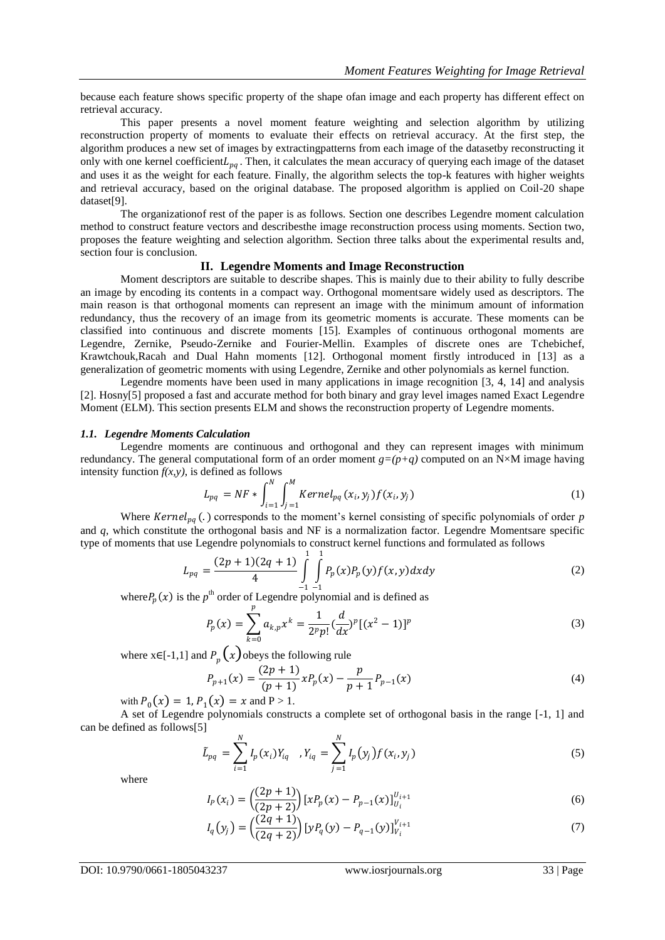because each feature shows specific property of the shape ofan image and each property has different effect on retrieval accuracy.

This paper presents a novel moment feature weighting and selection algorithm by utilizing reconstruction property of moments to evaluate their effects on retrieval accuracy. At the first step, the algorithm produces a new set of images by extractingpatterns from each image of the datasetby reconstructing it only with one kernel coefficient $L_{pq}$ . Then, it calculates the mean accuracy of querying each image of the dataset and uses it as the weight for each feature. Finally, the algorithm selects the top-k features with higher weights and retrieval accuracy, based on the original database. The proposed algorithm is applied on Coil-20 shape dataset[\[9\]](#page-5-5).

The organizationof rest of the paper is as follows. Section one describes Legendre moment calculation method to construct feature vectors and describesthe image reconstruction process using moments. Section two, proposes the feature weighting and selection algorithm. Section three talks about the experimental results and, section four is conclusion.

# **II. Legendre Moments and Image Reconstruction**

Moment descriptors are suitable to describe shapes. This is mainly due to their ability to fully describe an image by encoding its contents in a compact way. Orthogonal momentsare widely used as descriptors. The main reason is that orthogonal moments can represent an image with the minimum amount of information redundancy, thus the recovery of an image from its geometric moments is accurate. These moments can be classified into continuous and discrete moments [\[15\]](#page-5-6). Examples of continuous orthogonal moments are Legendre, Zernike, Pseudo-Zernike and Fourier-Mellin. Examples of discrete ones are Tchebichef, Krawtchouk,Racah and Dual Hahn moments [\[12\]](#page-5-7). Orthogonal moment firstly introduced in [\[13\]](#page-5-8) as a generalization of geometric moments with using Legendre, Zernike and other polynomials as kernel function.

Legendre moments have been used in many applications in image recognition [\[3,](#page-5-9) [4,](#page-5-10) [14\]](#page-5-11) and analysis [\[2\]](#page-5-12). Hosny[\[5\]](#page-5-13) proposed a fast and accurate method for both binary and gray level images named Exact Legendre Moment (ELM). This section presents ELM and shows the reconstruction property of Legendre moments.

# *1.1. Legendre Moments Calculation*

Legendre moments are continuous and orthogonal and they can represent images with minimum redundancy. The general computational form of an order moment  $g=(p+q)$  computed on an N×M image having intensity function  $f(x, y)$ , is defined as follows

$$
L_{pq} = NF * \int_{i=1}^{N} \int_{j=1}^{M} Kernel_{pq}(x_i, y_j) f(x_i, y_j)
$$
\n(1)

Where  $Kernel_{pq}$  (.) corresponds to the moment's kernel consisting of specific polynomials of order *p* and *q*, which constitute the orthogonal basis and NF is a normalization factor. Legendre Momentsare specific type of moments that use Legendre polynomials to construct kernel functions and formulated as follows

$$
L_{pq} = \frac{(2p+1)(2q+1)}{4} \int_{-1}^{1} \int_{-1}^{1} P_p(x) P_p(y) f(x, y) dx dy
$$
 (2)

where  $P_p(x)$  is the  $p^{\text{th}}$  order of Legendre polynomial and is defined as

$$
P_p(x) = \sum_{k=0}^p a_{k,p} x^k = \frac{1}{2^p p!} \left(\frac{d}{dx}\right)^p \left[ (x^2 - 1) \right]^p \tag{3}
$$

where  $x \in [-1,1]$  and  $P_p(x)$  obeys the following rule

$$
P_{p+1}(x) = \frac{(2p+1)}{(p+1)} x P_p(x) - \frac{p}{p+1} P_{p-1}(x)
$$
\n(4)

with  $P_0(x) = 1$ ,  $P_1(x) = x$  and  $P > 1$ .

A set of Legendre polynomials constructs a complete set of orthogonal basis in the range [-1, 1] and can be defined as follows[\[5\]](#page-5-13)

$$
\tilde{L}_{pq} = \sum_{i=1}^{N} I_p(x_i) Y_{iq} , Y_{iq} = \sum_{j=1}^{N} I_p(y_j) f(x_i, y_j)
$$
\n(5)

where

$$
I_p(x_i) = \left(\frac{(2p+1)}{(2p+2)}\right) \left[xP_p(x) - P_{p-1}(x)\right]_{U_i}^{U_{i+1}}
$$
\n(6)

$$
I_q(y_j) = \left(\frac{(2q+1)}{(2q+2)}\right) [yP_q(y) - P_{q-1}(y)]_{V_i}^{V_{i+1}}
$$
\n(7)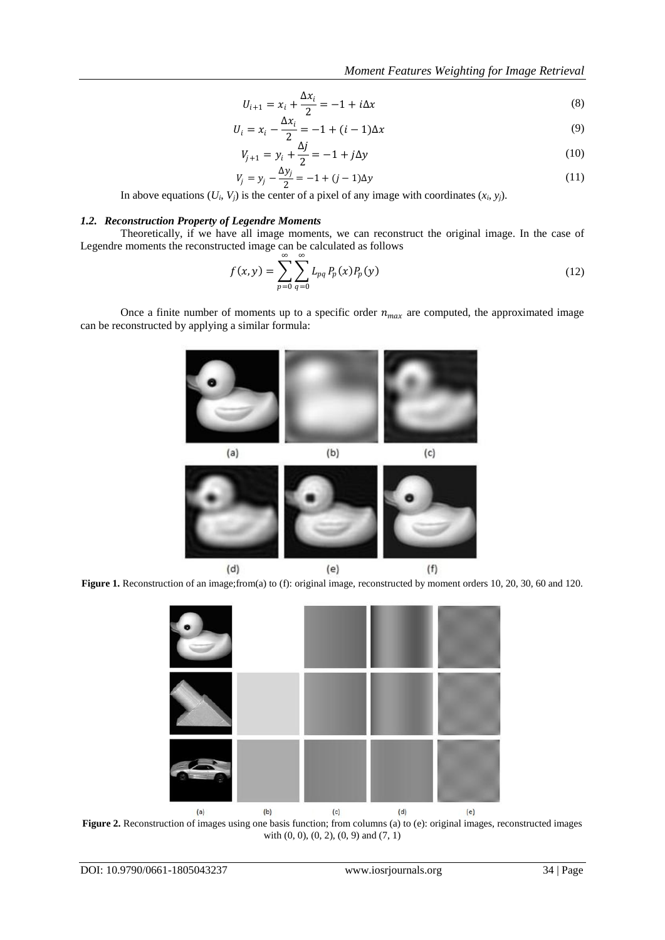$$
U_{i+1} = x_i + \frac{\Delta x_i}{2} = -1 + i\Delta x \tag{8}
$$

$$
U_i = x_i - \frac{\Delta x_i}{2} = -1 + (i - 1)\Delta x \tag{9}
$$

$$
V_{j+1} = y_i + \frac{\Delta j}{2} = -1 + j\Delta y \tag{10}
$$

$$
V_j = y_j - \frac{\Delta y_j}{2} = -1 + (j - 1)\Delta y \tag{11}
$$

In above equations  $(U_i, V_j)$  is the center of a pixel of any image with coordinates  $(x_i, y_j)$ .

# *1.2. Reconstruction Property of Legendre Moments*

Theoretically, if we have all image moments, we can reconstruct the original image. In the case of Legendre moments the reconstructed image can be calculated as follows

$$
f(x, y) = \sum_{p=0}^{\infty} \sum_{q=0}^{\infty} L_{pq} P_p(x) P_p(y)
$$
 (12)

Once a finite number of moments up to a specific order  $n_{max}$  are computed, the approximated image can be reconstructed by applying a similar formula:



**Figure 1.** Reconstruction of an image;from(a) to (f): original image, reconstructed by moment orders 10, 20, 30, 60 and 120.



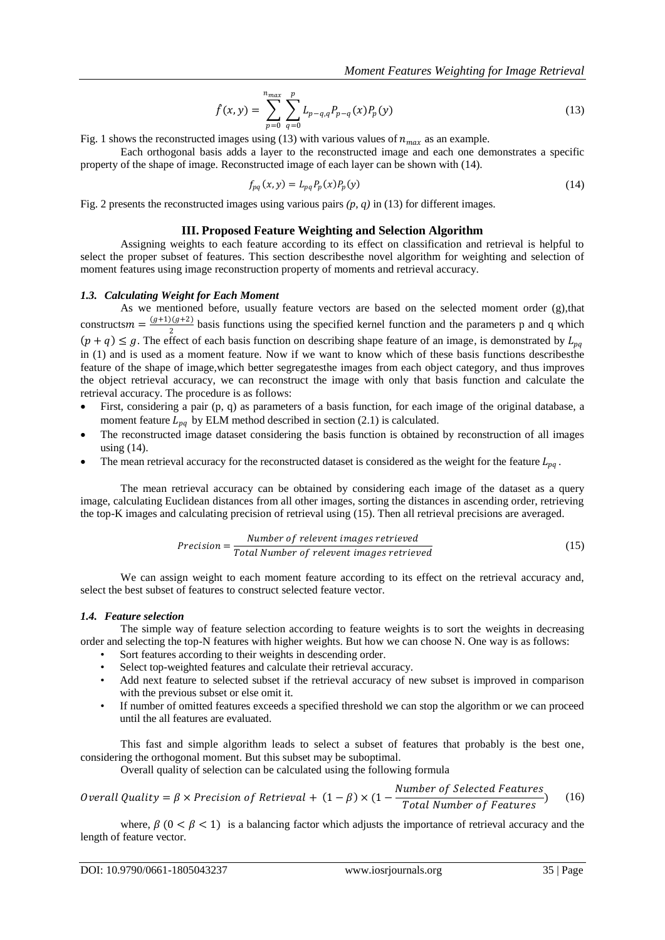$$
\hat{f}(x,y) = \sum_{p=0}^{n_{max}} \sum_{q=0}^{p} L_{p-q,q} P_{p-q}(x) P_p(y)
$$
\n(13)

Fig. 1 shows the reconstructed images using (13) with various values of  $n_{max}$  as an example.

Each orthogonal basis adds a layer to the reconstructed image and each one demonstrates a specific property of the shape of image. Reconstructed image of each layer can be shown with (14).

$$
f_{pq}(x, y) = L_{pq} P_p(x) P_p(y)
$$
\n(14)

Fig. 2 presents the reconstructed images using various pairs *(p, q)* in (13) for different images.

## **III. Proposed Feature Weighting and Selection Algorithm**

Assigning weights to each feature according to its effect on classification and retrieval is helpful to select the proper subset of features. This section describesthe novel algorithm for weighting and selection of moment features using image reconstruction property of moments and retrieval accuracy.

#### *1.3. Calculating Weight for Each Moment*

As we mentioned before, usually feature vectors are based on the selected moment order (g),that constructs  $m = \frac{(g+1)(g+2)}{2}$  $\frac{\sqrt{y+z}}{2}$  basis functions using the specified kernel function and the parameters p and q which  $(p+q) \leq g$ . The effect of each basis function on describing shape feature of an image, is demonstrated by  $L_{pq}$ in (1) and is used as a moment feature. Now if we want to know which of these basis functions describesthe feature of the shape of image,which better segregatesthe images from each object category, and thus improves the object retrieval accuracy, we can reconstruct the image with only that basis function and calculate the retrieval accuracy. The procedure is as follows:

- First, considering a pair (p, q) as parameters of a basis function, for each image of the original database, a moment feature  $L_{pq}$  by ELM method described in section (2.1) is calculated.
- The reconstructed image dataset considering the basis function is obtained by reconstruction of all images using (14).
- The mean retrieval accuracy for the reconstructed dataset is considered as the weight for the feature  $L_{pq}$ .

The mean retrieval accuracy can be obtained by considering each image of the dataset as a query image, calculating Euclidean distances from all other images, sorting the distances in ascending order, retrieving the top-K images and calculating precision of retrieval using (15). Then all retrieval precisions are averaged.

$$
Precision = \frac{Number\ of\ relevant\ images\ retrieved}{Total\ Number\ of\ relevant\ images\ retrieved}
$$
\n(15)

We can assign weight to each moment feature according to its effect on the retrieval accuracy and, select the best subset of features to construct selected feature vector.

## *1.4. Feature selection*

The simple way of feature selection according to feature weights is to sort the weights in decreasing order and selecting the top-N features with higher weights. But how we can choose N. One way is as follows:

- Sort features according to their weights in descending order.
- Select top-weighted features and calculate their retrieval accuracy.
- Add next feature to selected subset if the retrieval accuracy of new subset is improved in comparison with the previous subset or else omit it.
- If number of omitted features exceeds a specified threshold we can stop the algorithm or we can proceed until the all features are evaluated.

This fast and simple algorithm leads to select a subset of features that probably is the best one, considering the orthogonal moment. But this subset may be suboptimal.

Overall quality of selection can be calculated using the following formula

*Overall Quality* = 
$$
\beta \times Precision of Retrieval
$$
 +  $(1 - \beta) \times (1 - \frac{Number of Selected Features}{Total Number of Features})$  (16)

where,  $\beta$  (0 <  $\beta$  < 1) is a balancing factor which adjusts the importance of retrieval accuracy and the length of feature vector.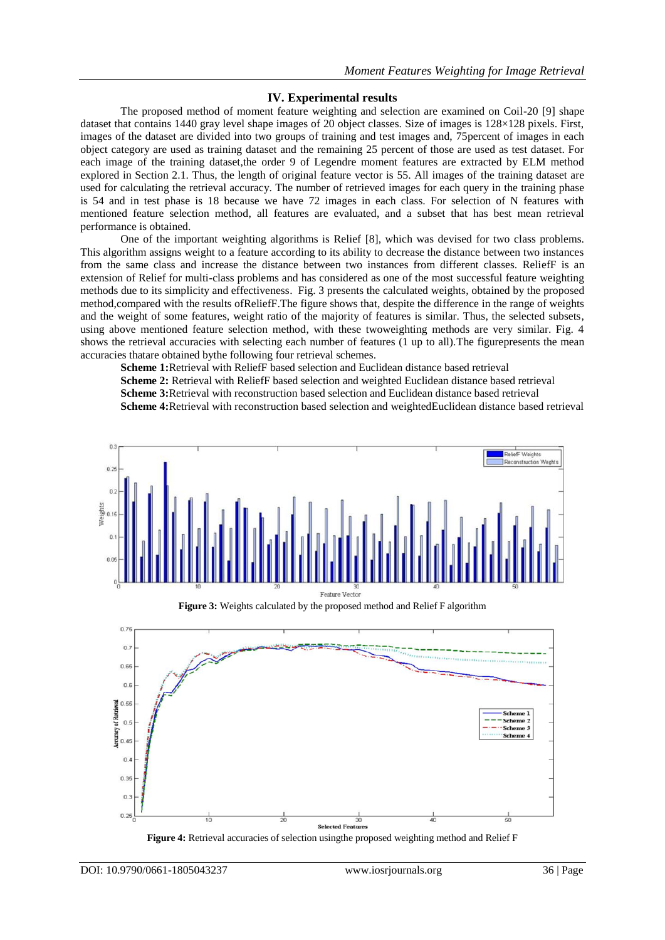# **IV. Experimental results**

The proposed method of moment feature weighting and selection are examined on Coil-20 [\[9\]](#page-5-5) shape dataset that contains 1440 gray level shape images of 20 object classes. Size of images is 128×128 pixels. First, images of the dataset are divided into two groups of training and test images and, 75percent of images in each object category are used as training dataset and the remaining 25 percent of those are used as test dataset. For each image of the training dataset,the order 9 of Legendre moment features are extracted by ELM method explored in Section 2.1. Thus, the length of original feature vector is 55. All images of the training dataset are used for calculating the retrieval accuracy. The number of retrieved images for each query in the training phase is 54 and in test phase is 18 because we have 72 images in each class. For selection of N features with mentioned feature selection method, all features are evaluated, and a subset that has best mean retrieval performance is obtained.

One of the important weighting algorithms is Relief [\[8\]](#page-5-14), which was devised for two class problems. This algorithm assigns weight to a feature according to its ability to decrease the distance between two instances from the same class and increase the distance between two instances from different classes. ReliefF is an extension of Relief for multi-class problems and has considered as one of the most successful feature weighting methods due to its simplicity and effectiveness. Fig. 3 presents the calculated weights, obtained by the proposed method,compared with the results ofReliefF.The figure shows that, despite the difference in the range of weights and the weight of some features, weight ratio of the majority of features is similar. Thus, the selected subsets, using above mentioned feature selection method, with these twoweighting methods are very similar. Fig. 4 shows the retrieval accuracies with selecting each number of features (1 up to all).The figurepresents the mean accuracies thatare obtained bythe following four retrieval schemes.

**Scheme 1:**Retrieval with ReliefF based selection and Euclidean distance based retrieval **Scheme 2:** Retrieval with ReliefF based selection and weighted Euclidean distance based retrieval **Scheme 3:**Retrieval with reconstruction based selection and Euclidean distance based retrieval

**Scheme 4:**Retrieval with reconstruction based selection and weightedEuclidean distance based retrieval



**Figure 3:** Weights calculated by the proposed method and Relief F algorithm



**Figure 4:** Retrieval accuracies of selection usingthe proposed weighting method and Relief F